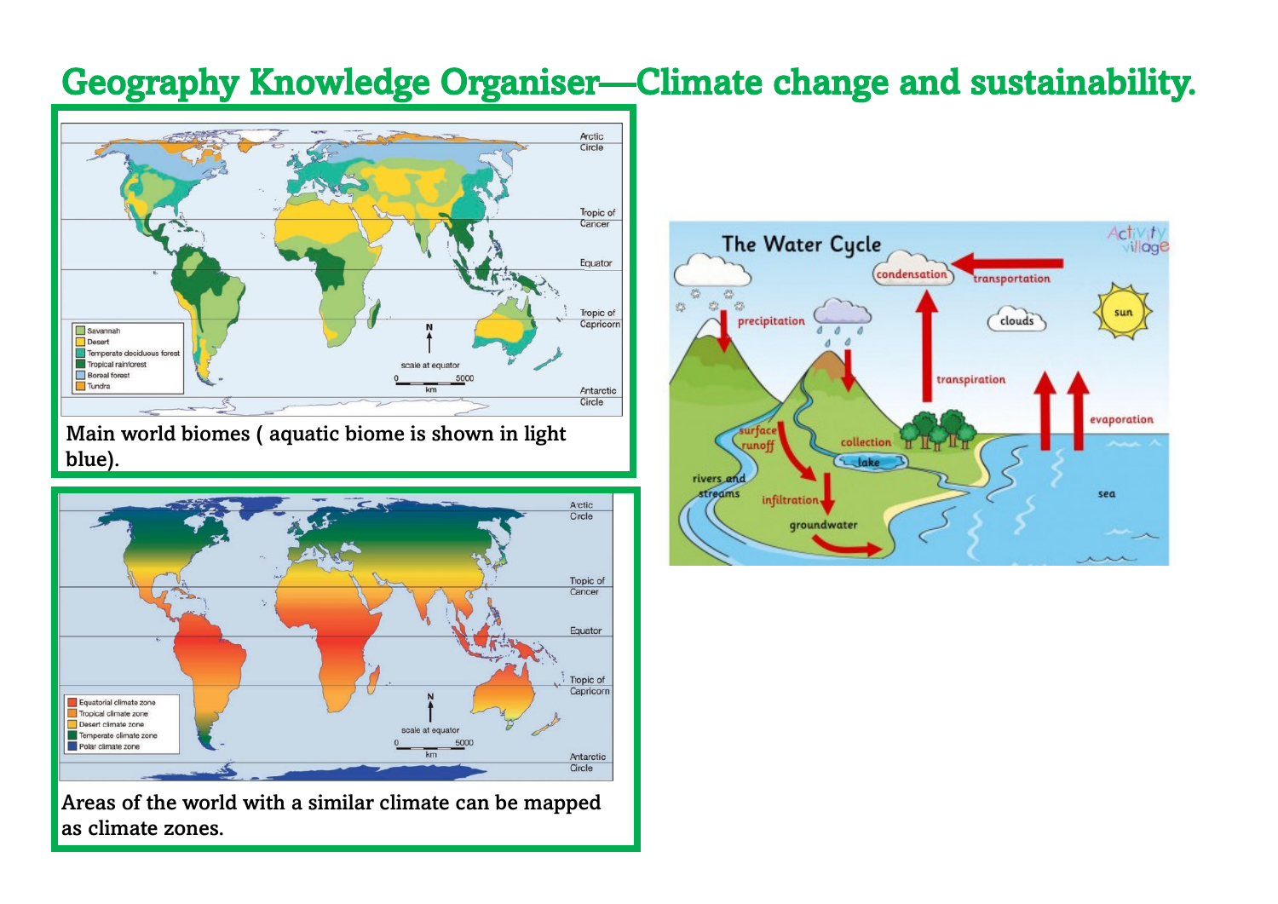## Geography Knowledge Organiser—Climate change and sustainability.



Main world biomes ( aquatic biome is shown in light blue).



Areas of the world with a similar climate can be mapped as climate zones.